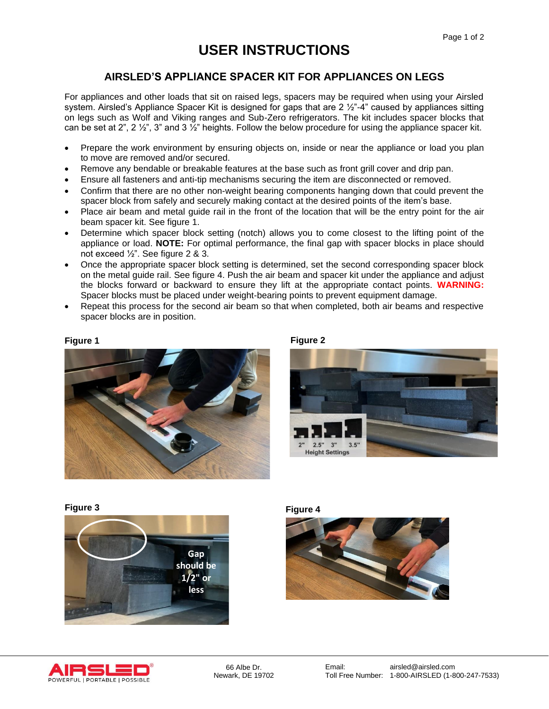# **USER INSTRUCTIONS**

## **AIRSLED'S APPLIANCE SPACER KIT FOR APPLIANCES ON LEGS**

For appliances and other loads that sit on raised legs, spacers may be required when using your Airsled system. Airsled's Appliance Spacer Kit is designed for gaps that are  $2 \frac{1}{2}$ "-4" caused by appliances sitting on legs such as Wolf and Viking ranges and Sub-Zero refrigerators. The kit includes spacer blocks that can be set at 2", 2  $\frac{1}{2}$ ", 3" and 3  $\frac{1}{2}$ " heights. Follow the below procedure for using the appliance spacer kit.

- Prepare the work environment by ensuring objects on, inside or near the appliance or load you plan to move are removed and/or secured.
- Remove any bendable or breakable features at the base such as front grill cover and drip pan.
- Ensure all fasteners and anti-tip mechanisms securing the item are disconnected or removed.
- Confirm that there are no other non-weight bearing components hanging down that could prevent the spacer block from safely and securely making contact at the desired points of the item's base.
- Place air beam and metal guide rail in the front of the location that will be the entry point for the air beam spacer kit. See figure 1.
- Determine which spacer block setting (notch) allows you to come closest to the lifting point of the appliance or load. **NOTE:** For optimal performance, the final gap with spacer blocks in place should not exceed ½". See figure 2 & 3.
- Once the appropriate spacer block setting is determined, set the second corresponding spacer block on the metal guide rail. See figure 4. Push the air beam and spacer kit under the appliance and adjust the blocks forward or backward to ensure they lift at the appropriate contact points. **WARNING:** Spacer blocks must be placed under weight-bearing points to prevent equipment damage.
- Repeat this process for the second air beam so that when completed, both air beams and respective spacer blocks are in position.

### **Figure 1**







**Figure 3 Figure 4**









66 Albe Dr. Newark, DE 19702